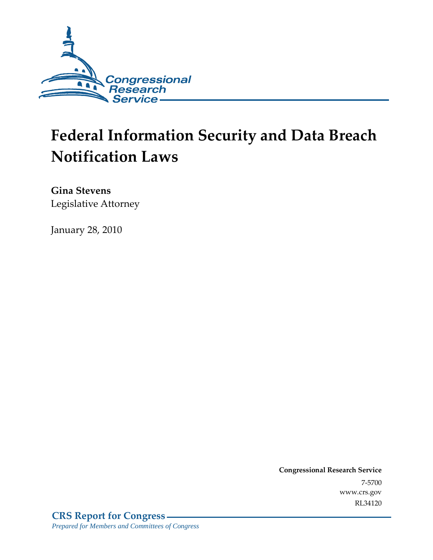

# **Federal Information Security and Data Breach Notification Laws**

**Gina Stevens**  Legislative Attorney

January 28, 2010

**Congressional Research Service** 7-5700 www.crs.gov RL34120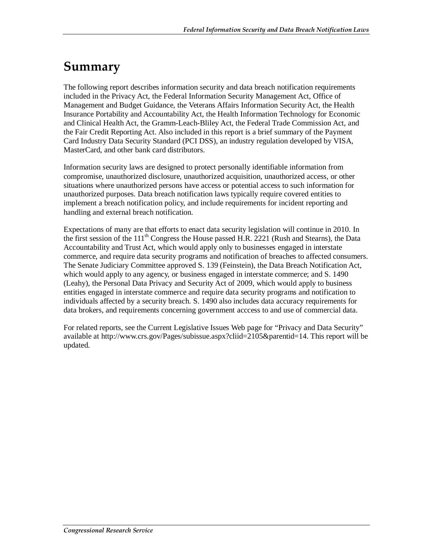# **Summary**

The following report describes information security and data breach notification requirements included in the Privacy Act, the Federal Information Security Management Act, Office of Management and Budget Guidance, the Veterans Affairs Information Security Act, the Health Insurance Portability and Accountability Act, the Health Information Technology for Economic and Clinical Health Act, the Gramm-Leach-Bliley Act, the Federal Trade Commission Act, and the Fair Credit Reporting Act. Also included in this report is a brief summary of the Payment Card Industry Data Security Standard (PCI DSS), an industry regulation developed by VISA, MasterCard, and other bank card distributors.

Information security laws are designed to protect personally identifiable information from compromise, unauthorized disclosure, unauthorized acquisition, unauthorized access, or other situations where unauthorized persons have access or potential access to such information for unauthorized purposes. Data breach notification laws typically require covered entities to implement a breach notification policy, and include requirements for incident reporting and handling and external breach notification.

Expectations of many are that efforts to enact data security legislation will continue in 2010. In the first session of the  $111<sup>th</sup>$  Congress the House passed H.R. 2221 (Rush and Stearns), the Data Accountability and Trust Act, which would apply only to businesses engaged in interstate commerce, and require data security programs and notification of breaches to affected consumers. The Senate Judiciary Committee approved S. 139 (Feinstein), the Data Breach Notification Act, which would apply to any agency, or business engaged in interstate commerce; and S. 1490 (Leahy), the Personal Data Privacy and Security Act of 2009, which would apply to business entities engaged in interstate commerce and require data security programs and notification to individuals affected by a security breach. S. 1490 also includes data accuracy requirements for data brokers, and requirements concerning government acccess to and use of commercial data.

For related reports, see the Current Legislative Issues Web page for "Privacy and Data Security" available at http://www.crs.gov/Pages/subissue.aspx?cliid=2105&parentid=14. This report will be updated.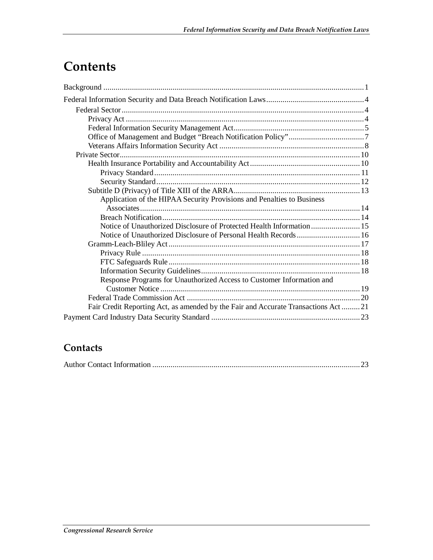# **Contents**

| Application of the HIPAA Security Provisions and Penalties to Business            |  |
|-----------------------------------------------------------------------------------|--|
|                                                                                   |  |
|                                                                                   |  |
|                                                                                   |  |
|                                                                                   |  |
|                                                                                   |  |
|                                                                                   |  |
|                                                                                   |  |
|                                                                                   |  |
| Response Programs for Unauthorized Access to Customer Information and             |  |
|                                                                                   |  |
|                                                                                   |  |
| Fair Credit Reporting Act, as amended by the Fair and Accurate Transactions Act21 |  |
|                                                                                   |  |

### **Contacts**

|--|--|--|--|--|--|--|--|--|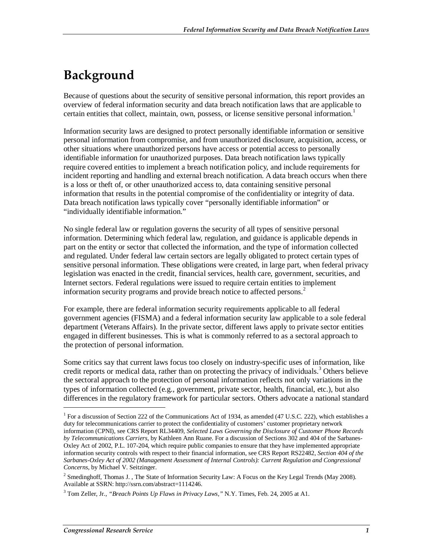# **Background**

Because of questions about the security of sensitive personal information, this report provides an overview of federal information security and data breach notification laws that are applicable to certain entities that collect, maintain, own, possess, or license sensitive personal information.<sup>1</sup>

Information security laws are designed to protect personally identifiable information or sensitive personal information from compromise, and from unauthorized disclosure, acquisition, access, or other situations where unauthorized persons have access or potential access to personally identifiable information for unauthorized purposes. Data breach notification laws typically require covered entities to implement a breach notification policy, and include requirements for incident reporting and handling and external breach notification. A data breach occurs when there is a loss or theft of, or other unauthorized access to, data containing sensitive personal information that results in the potential compromise of the confidentiality or integrity of data. Data breach notification laws typically cover "personally identifiable information" or "individually identifiable information."

No single federal law or regulation governs the security of all types of sensitive personal information. Determining which federal law, regulation, and guidance is applicable depends in part on the entity or sector that collected the information, and the type of information collected and regulated. Under federal law certain sectors are legally obligated to protect certain types of sensitive personal information. These obligations were created, in large part, when federal privacy legislation was enacted in the credit, financial services, health care, government, securities, and Internet sectors. Federal regulations were issued to require certain entities to implement information security programs and provide breach notice to affected persons.<sup>2</sup>

For example, there are federal information security requirements applicable to all federal government agencies (FISMA) and a federal information security law applicable to a sole federal department (Veterans Affairs). In the private sector, different laws apply to private sector entities engaged in different businesses. This is what is commonly referred to as a sectoral approach to the protection of personal information.

Some critics say that current laws focus too closely on industry-specific uses of information, like credit reports or medical data, rather than on protecting the privacy of individuals.<sup>3</sup> Others believe the sectoral approach to the protection of personal information reflects not only variations in the types of information collected (e.g., government, private sector, health, financial, etc.), but also differences in the regulatory framework for particular sectors. Others advocate a national standard

<u>.</u>

<sup>&</sup>lt;sup>1</sup> For a discussion of Section 222 of the Communications Act of 1934, as amended (47 U.S.C. 222), which establishes a duty for telecommunications carrier to protect the confidentiality of customers' customer proprietary network information (CPNI), see CRS Report RL34409, *Selected Laws Governing the Disclosure of Customer Phone Records by Telecommunications Carriers*, by Kathleen Ann Ruane. For a discussion of Sections 302 and 404 of the Sarbanes-Oxley Act of 2002, P.L. 107-204, which require public companies to ensure that they have implemented appropriate information security controls with respect to their financial information, see CRS Report RS22482, *Section 404 of the Sarbanes-Oxley Act of 2002 (Management Assessment of Internal Controls): Current Regulation and Congressional Concerns*, by Michael V. Seitzinger.

<sup>&</sup>lt;sup>2</sup> Smedinghoff, Thomas J., The State of Information Security Law: A Focus on the Key Legal Trends (May 2008). Available at SSRN: http://ssrn.com/abstract=1114246.

<sup>3</sup> Tom Zeller, Jr., *"Breach Points Up Flaws in Privacy Laws,"* N.Y. Times, Feb. 24, 2005 at A1.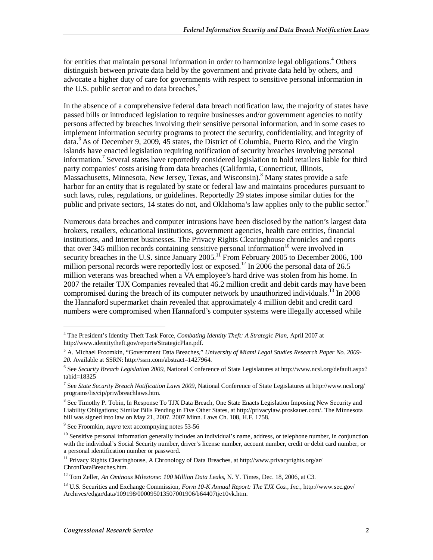for entities that maintain personal information in order to harmonize legal obligations.<sup>4</sup> Others distinguish between private data held by the government and private data held by others, and advocate a higher duty of care for governments with respect to sensitive personal information in the U.S. public sector and to data breaches.<sup>5</sup>

In the absence of a comprehensive federal data breach notification law, the majority of states have passed bills or introduced legislation to require businesses and/or government agencies to notify persons affected by breaches involving their sensitive personal information, and in some cases to implement information security programs to protect the security, confidentiality, and integrity of data.<sup>6</sup> As of December 9, 2009, 45 states, the District of Columbia, Puerto Rico, and the Virgin Islands have enacted legislation requiring notification of security breaches involving personal information.<sup>7</sup> Several states have reportedly considered legislation to hold retailers liable for third party companies' costs arising from data breaches (California, Connecticut, Illinois, Massachusetts, Minnesota, New Jersey, Texas, and Wisconsin). <sup>8</sup> Many states provide a safe harbor for an entity that is regulated by state or federal law and maintains procedures pursuant to such laws, rules, regulations, or guidelines. Reportedly 29 states impose similar duties for the public and private sectors, 14 states do not, and Oklahoma's law applies only to the public sector.<sup>9</sup>

Numerous data breaches and computer intrusions have been disclosed by the nation's largest data brokers, retailers, educational institutions, government agencies, health care entities, financial institutions, and Internet businesses. The Privacy Rights Clearinghouse chronicles and reports that over 345 million records containing sensitive personal information<sup>10</sup> were involved in security breaches in the U.S. since January 2005.<sup>11</sup> From February 2005 to December 2006, 100 million personal records were reportedly lost or exposed.<sup>12</sup> In 2006 the personal data of 26.5 million veterans was breached when a VA employee's hard drive was stolen from his home. In 2007 the retailer TJX Companies revealed that 46.2 million credit and debit cards may have been compromised during the breach of its computer network by unauthorized individuals.<sup>13</sup> In 2008 the Hannaford supermarket chain revealed that approximately 4 million debit and credit card numbers were compromised when Hannaford's computer systems were illegally accessed while

9 See Froomkin, *supra* text accompnying notes 53-56

<sup>4</sup> The President's Identity Theft Task Force, *Combating Identity Theft: A Strategic Plan*, April 2007 at http://www.identitytheft.gov/reports/StrategicPlan.pdf.

<sup>5</sup> A. Michael Froomkin, "Government Data Breaches," *University of Miami Legal Studies Research Paper No. 2009- 20.* Available at SSRN: http://ssrn.com/abstract=1427964.

<sup>6</sup> See *Security Breach Legislation 2009*, National Conference of State Legislatures at http://www.ncsl.org/default.aspx? tabid=18325

<sup>7</sup> See *State Security Breach Notification Laws 2009*, National Conference of State Legislatures at http://www.ncsl.org/ programs/lis/cip/priv/breachlaws.htm.

<sup>&</sup>lt;sup>8</sup> See Timothy P. Tobin, In Response To TJX Data Breach, One State Enacts Legislation Imposing New Security and Liability Obligations; Similar Bills Pending in Five Other States, at http://privacylaw.proskauer.com/. The Minnesota bill was signed into law on May 21, 2007. 2007 Minn. Laws Ch. 108, H.F. 1758.

<sup>&</sup>lt;sup>10</sup> Sensitive personal information generally includes an individual's name, address, or telephone number, in conjunction with the individual's Social Security number, driver's license number, account number, credit or debit card number, or a personal identification number or password.

<sup>&</sup>lt;sup>11</sup> Privacy Rights Clearinghouse, A Chronology of Data Breaches, at http://www.privacyrights.org/ar/ ChronDataBreaches.htm.

<sup>12</sup> Tom Zeller, *An Ominous Milestone: 100 Million Data Leaks*, N. Y. Times, Dec. 18, 2006, at C3.

<sup>13</sup> U.S. Securities and Exchange Commission*, Form 10-K Annual Report: The TJX Cos., Inc.,* http://www.sec.gov/ Archives/edgar/data/109198/000095013507001906/b64407tje10vk.htm.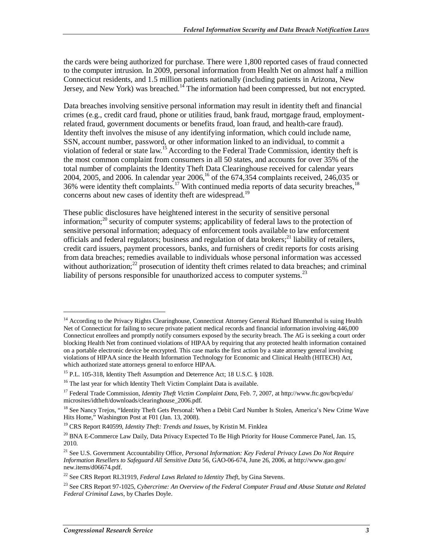the cards were being authorized for purchase. There were 1,800 reported cases of fraud connected to the computer intrusion. In 2009, personal information from Health Net on almost half a million Connecticut residents, and 1.5 million patients nationally (including patients in Arizona, New Jersey, and New York) was breached.<sup>14</sup> The information had been compressed, but not encrypted.

Data breaches involving sensitive personal information may result in identity theft and financial crimes (e.g., credit card fraud, phone or utilities fraud, bank fraud, mortgage fraud, employmentrelated fraud, government documents or benefits fraud, loan fraud, and health-care fraud). Identity theft involves the misuse of any identifying information, which could include name, SSN, account number, password, or other information linked to an individual, to commit a violation of federal or state law.<sup>15</sup> According to the Federal Trade Commission, identity theft is the most common complaint from consumers in all 50 states, and accounts for over 35% of the total number of complaints the Identity Theft Data Clearinghouse received for calendar years 2004, 2005, and 2006. In calendar year 2006,16 of the 674,354 complaints received, 246,035 or 36% were identity theft complaints.<sup>17</sup> With continued media reports of data security breaches,<sup>18</sup> concerns about new cases of identity theft are widespread.<sup>19</sup>

These public disclosures have heightened interest in the security of sensitive personal information; $^{20}$  security of computer systems; applicability of federal laws to the protection of sensitive personal information; adequacy of enforcement tools available to law enforcement officials and federal regulators; business and regulation of data brokers;<sup>21</sup> liability of retailers, credit card issuers, payment processors, banks, and furnishers of credit reports for costs arising from data breaches; remedies available to individuals whose personal information was accessed without authorization; $^{22}$  prosecution of identity theft crimes related to data breaches; and criminal liability of persons responsible for unauthorized access to computer systems.<sup>23</sup>

<sup>&</sup>lt;sup>14</sup> According to the Privacy Rights Clearinghouse, Connecticut Attorney General Richard Blumenthal is suing Health Net of Connecticut for failing to secure private patient medical records and financial information involving 446,000 Connecticut enrollees and promptly notify consumers exposed by the security breach. The AG is seeking a court order blocking Health Net from continued violations of HIPAA by requiring that any protected health information contained on a portable electronic device be encrypted. This case marks the first action by a state attorney general involving violations of HIPAA since the Health Information Technology for Economic and Clinical Health (HITECH) Act, which authorized state attorneys general to enforce HIPAA.

<sup>&</sup>lt;sup>15</sup> P.L. 105-318, Identity Theft Assumption and Deterrence Act; 18 U.S.C. § 1028.

<sup>&</sup>lt;sup>16</sup> The last year for which Identity Theft Victim Complaint Data is available.

<sup>&</sup>lt;sup>17</sup> Federal Trade Commission, *Identity Theft Victim Complaint Data*, Feb. 7, 2007, at http://www.ftc.gov/bcp/edu/ microsites/idtheft/downloads/clearinghouse\_2006.pdf.

<sup>&</sup>lt;sup>18</sup> See Nancy Trejos, "Identity Theft Gets Personal: When a Debit Card Number Is Stolen, America's New Crime Wave Hits Home," Washington Post at F01 (Jan. 13, 2008).

<sup>19</sup> CRS Report R40599, *Identity Theft: Trends and Issues*, by Kristin M. Finklea

<sup>&</sup>lt;sup>20</sup> BNA E-Commerce Law Daily, Data Privacy Expected To Be High Priority for House Commerce Panel, Jan. 15, 2010.

<sup>21</sup> See U.S. Government Accountability Office, *Personal Information: Key Federal Privacy Laws Do Not Require Information Resellers to Safeguard All Sensitive Data* 56, GAO-06-674, June 26, 2006, at http://www.gao.gov/ new.items/d06674.pdf.

<sup>22</sup> See CRS Report RL31919, *Federal Laws Related to Identity Theft*, by Gina Stevens.

<sup>23</sup> See CRS Report 97-1025, *Cybercrime: An Overview of the Federal Computer Fraud and Abuse Statute and Related Federal Criminal Laws*, by Charles Doyle.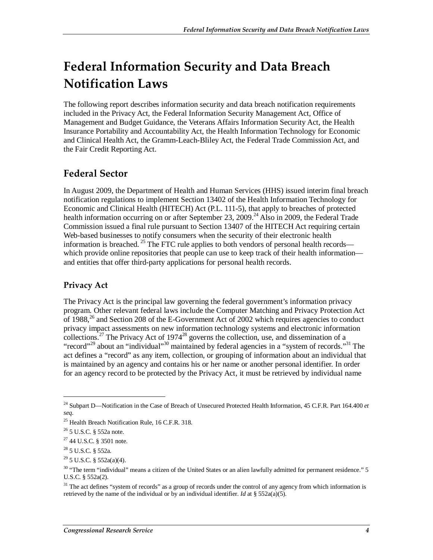# **Federal Information Security and Data Breach Notification Laws**

The following report describes information security and data breach notification requirements included in the Privacy Act, the Federal Information Security Management Act, Office of Management and Budget Guidance, the Veterans Affairs Information Security Act, the Health Insurance Portability and Accountability Act, the Health Information Technology for Economic and Clinical Health Act, the Gramm-Leach-Bliley Act, the Federal Trade Commission Act, and the Fair Credit Reporting Act.

### **Federal Sector**

In August 2009, the Department of Health and Human Services (HHS) issued interim final breach notification regulations to implement Section 13402 of the Health Information Technology for Economic and Clinical Health (HITECH) Act (P.L. 111-5), that apply to breaches of protected health information occurring on or after September 23, 2009.<sup>24</sup> Also in 2009, the Federal Trade Commission issued a final rule pursuant to Section 13407 of the HITECH Act requiring certain Web-based businesses to notify consumers when the security of their electronic health information is breached.  $^{25}$  The FTC rule applies to both vendors of personal health records which provide online repositories that people can use to keep track of their health information and entities that offer third-party applications for personal health records.

### **Privacy Act**

The Privacy Act is the principal law governing the federal government's information privacy program. Other relevant federal laws include the Computer Matching and Privacy Protection Act of  $1988<sup>26</sup>$  and Section 208 of the E-Government Act of 2002 which requires agencies to conduct privacy impact assessments on new information technology systems and electronic information collections.<sup>27</sup> The Privacy Act of 1974<sup>28</sup> governs the collection, use, and dissemination of a "record"<sup>29</sup> about an "individual"<sup>30</sup> maintained by federal agencies in a "system of records."<sup>31</sup> The act defines a "record" as any item, collection, or grouping of information about an individual that is maintained by an agency and contains his or her name or another personal identifier. In order for an agency record to be protected by the Privacy Act, it must be retrieved by individual name

<sup>24</sup> Subpart D—Notification in the Case of Breach of Unsecured Protected Health Information, 45 C.F.R. Part 164.400 *et seq.*

<sup>&</sup>lt;sup>25</sup> Health Breach Notification Rule, 16 C.F.R. 318.

<sup>&</sup>lt;sup>26</sup> 5 U.S.C. § 552a note.

 $27$  44 U.S.C. § 3501 note.

<sup>28 5</sup> U.S.C. § 552a.

 $^{29}$  5 U.S.C. § 552a(a)(4).

<sup>&</sup>lt;sup>30</sup> "The term "individual" means a citizen of the United States or an alien lawfully admitted for permanent residence." 5 U.S.C. § 552a(2).

<sup>&</sup>lt;sup>31</sup> The act defines "system of records" as a group of records under the control of any agency from which information is retrieved by the name of the individual or by an individual identifier. *Id* at § 552a(a)(5).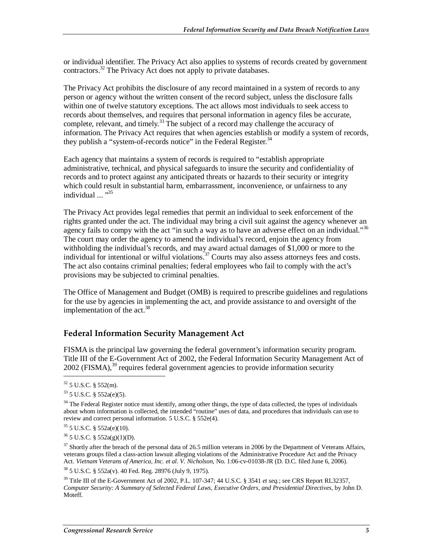or individual identifier. The Privacy Act also applies to systems of records created by government contractors.<sup>32</sup> The Privacy Act does not apply to private databases.

The Privacy Act prohibits the disclosure of any record maintained in a system of records to any person or agency without the written consent of the record subject, unless the disclosure falls within one of twelve statutory exceptions. The act allows most individuals to seek access to records about themselves, and requires that personal information in agency files be accurate, complete, relevant, and timely.<sup>33</sup> The subject of a record may challenge the accuracy of information. The Privacy Act requires that when agencies establish or modify a system of records, they publish a "system-of-records notice" in the Federal Register.<sup>34</sup>

Each agency that maintains a system of records is required to "establish appropriate administrative, technical, and physical safeguards to insure the security and confidentiality of records and to protect against any anticipated threats or hazards to their security or integrity which could result in substantial harm, embarrassment, inconvenience, or unfairness to any  $indivial$   $"35$ 

The Privacy Act provides legal remedies that permit an individual to seek enforcement of the rights granted under the act. The individual may bring a civil suit against the agency whenever an agency fails to compy with the act "in such a way as to have an adverse effect on an individual."<sup>36</sup> The court may order the agency to amend the individual's record, enjoin the agency from withholding the individual's records, and may award actual damages of \$1,000 or more to the individual for intentional or wilful violations.<sup>37</sup> Courts may also assess attorneys fees and costs. The act also contains criminal penalties; federal employees who fail to comply with the act's provisions may be subjected to criminal penalties.

The Office of Management and Budget (OMB) is required to prescribe guidelines and regulations for the use by agencies in implementing the act, and provide assistance to and oversight of the implementation of the  $act.^{38}$ 

#### **Federal Information Security Management Act**

FISMA is the principal law governing the federal government's information security program. Title III of the E-Government Act of 2002, the Federal Information Security Management Act of 2002 (FISMA),<sup>39</sup> requires federal government agencies to provide information security

 $37$  Shortly after the breach of the personal data of 26.5 million veterans in 2006 by the Department of Veterans Affairs, veterans groups filed a class-action lawsuit alleging violations of the Administrative Procedure Act and the Privacy Act. *Vietnam Veterans of America, Inc. et al. V. Nicholson*, No. 1:06-cv-01038-JR (D. D.C. filed June 6, 2006).

38 5 U.S.C. § 552a(v). 40 Fed. Reg. 28976 (July 9, 1975).

39 Title III of the E-Government Act of 2002, P.L. 107-347; 44 U.S.C. § 3541 *et seq.*; see CRS Report RL32357, *Computer Security: A Summary of Selected Federal Laws, Executive Orders, and Presidential Directives*, by John D. Moteff.

<sup>32 5</sup> U.S.C. § 552(m).

<sup>33 5</sup> U.S.C. § 552a(e)(5).

<sup>&</sup>lt;sup>34</sup> The Federal Register notice must identify, among other things, the type of data collected, the types of individuals about whom information is collected, the intended "routine" uses of data, and procedures that individuals can use to review and correct personal information. 5 U.S.C. § 552e(4).

<sup>35 5</sup> U.S.C. § 552a(e)(10).

 $36$  5 U.S.C. § 552a(g)(1)(D).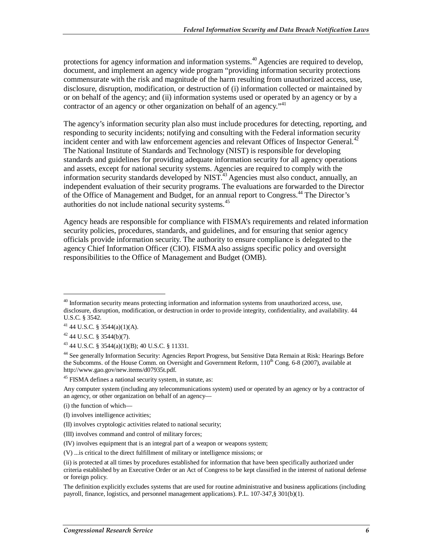protections for agency information and information systems.<sup>40</sup> Agencies are required to develop, document, and implement an agency wide program "providing information security protections commensurate with the risk and magnitude of the harm resulting from unauthorized access, use, disclosure, disruption, modification, or destruction of (i) information collected or maintained by or on behalf of the agency; and (ii) information systems used or operated by an agency or by a contractor of an agency or other organization on behalf of an agency."<sup>41</sup>

The agency's information security plan also must include procedures for detecting, reporting, and responding to security incidents; notifying and consulting with the Federal information security incident center and with law enforcement agencies and relevant Offices of Inspector General.<sup>42</sup> The National Institute of Standards and Technology (NIST) is responsible for developing standards and guidelines for providing adequate information security for all agency operations and assets, except for national security systems. Agencies are required to comply with the information security standards developed by  $NIST^{43}$  Agencies must also conduct, annually, an independent evaluation of their security programs. The evaluations are forwarded to the Director of the Office of Management and Budget, for an annual report to Congress.44 The Director's authorities do not include national security systems.<sup>45</sup>

Agency heads are responsible for compliance with FISMA's requirements and related information security policies, procedures, standards, and guidelines, and for ensuring that senior agency officials provide information security. The authority to ensure compliance is delegated to the agency Chief Information Officer (CIO). FISMA also assigns specific policy and oversight responsibilities to the Office of Management and Budget (OMB).

1

(i) the function of which—

<sup>&</sup>lt;sup>40</sup> Information security means protecting information and information systems from unauthorized access, use, disclosure, disruption, modification, or destruction in order to provide integrity, confidentiality, and availability. 44 U.S.C. § 3542.

<sup>41 44</sup> U.S.C. § 3544(a)(1)(A).

 $42$  44 U.S.C. § 3544(b)(7).

<sup>43 44</sup> U.S.C. § 3544(a)(1)(B); 40 U.S.C. § 11331.

<sup>&</sup>lt;sup>44</sup> See generally Information Security: Agencies Report Progress, but Sensitive Data Remain at Risk: Hearings Before the Subcomms. of the House Comm. on Oversight and Government Reform,  $110^{th}$  Cong. 6-8 (2007), available at http://www.gao.gov/new.items/d07935t.pdf.

<sup>&</sup>lt;sup>45</sup> FISMA defines a national security system, in statute, as:

Any computer system (including any telecommunications system) used or operated by an agency or by a contractor of an agency, or other organization on behalf of an agency—

<sup>(</sup>I) involves intelligence activities;

<sup>(</sup>II) involves cryptologic activities related to national security;

<sup>(</sup>III) involves command and control of military forces;

<sup>(</sup>IV) involves equipment that is an integral part of a weapon or weapons system;

<sup>(</sup>V) ...is critical to the direct fulfillment of military or intelligence missions; or

<sup>(</sup>ii) is protected at all times by procedures established for information that have been specifically authorized under criteria established by an Executive Order or an Act of Congress to be kept classified in the interest of national defense or foreign policy.

The definition explicitly excludes systems that are used for routine administrative and business applications (including payroll, finance, logistics, and personnel management applications). P.L. 107-347,§ 301(b)(1).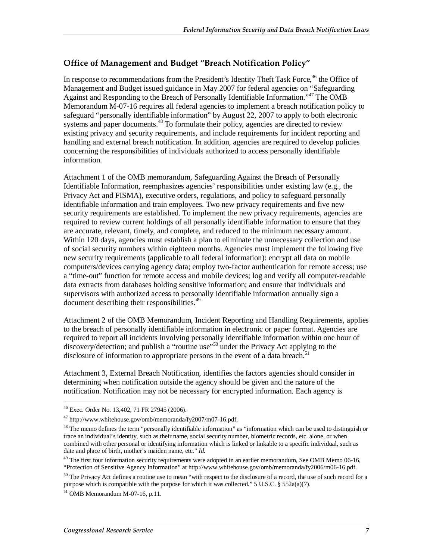#### **Office of Management and Budget "Breach Notification Policy"**

In response to recommendations from the President's Identity Theft Task Force,<sup>46</sup> the Office of Management and Budget issued guidance in May 2007 for federal agencies on "Safeguarding Against and Responding to the Breach of Personally Identifiable Information."47 The OMB Memorandum M-07-16 requires all federal agencies to implement a breach notification policy to safeguard "personally identifiable information" by August 22, 2007 to apply to both electronic systems and paper documents.<sup>48</sup> To formulate their policy, agencies are directed to review existing privacy and security requirements, and include requirements for incident reporting and handling and external breach notification. In addition, agencies are required to develop policies concerning the responsibilities of individuals authorized to access personally identifiable information.

Attachment 1 of the OMB memorandum, Safeguarding Against the Breach of Personally Identifiable Information, reemphasizes agencies' responsibilities under existing law (e.g., the Privacy Act and FISMA), executive orders, regulations, and policy to safeguard personally identifiable information and train employees. Two new privacy requirements and five new security requirements are established. To implement the new privacy requirements, agencies are required to review current holdings of all personally identifiable information to ensure that they are accurate, relevant, timely, and complete, and reduced to the minimum necessary amount. Within 120 days, agencies must establish a plan to eliminate the unnecessary collection and use of social security numbers within eighteen months. Agencies must implement the following five new security requirements (applicable to all federal information): encrypt all data on mobile computers/devices carrying agency data; employ two-factor authentication for remote access; use a "time-out" function for remote access and mobile devices; log and verify all computer-readable data extracts from databases holding sensitive information; and ensure that individuals and supervisors with authorized access to personally identifiable information annually sign a document describing their responsibilities.<sup>49</sup>

Attachment 2 of the OMB Memorandum, Incident Reporting and Handling Requirements, applies to the breach of personally identifiable information in electronic or paper format. Agencies are required to report all incidents involving personally identifiable information within one hour of discovery/detection; and publish a "routine use"<sup>50</sup> under the Privacy Act applying to the disclosure of information to appropriate persons in the event of a data breach.<sup>51</sup>

Attachment 3, External Breach Notification, identifies the factors agencies should consider in determining when notification outside the agency should be given and the nature of the notification. Notification may not be necessary for encrypted information. Each agency is

<sup>46</sup> Exec. Order No. 13,402, 71 FR 27945 (2006).

<sup>47</sup> http://www.whitehouse.gov/omb/memoranda/fy2007/m07-16.pdf.

<sup>&</sup>lt;sup>48</sup> The memo defines the term "personally identifiable information" as "information which can be used to distinguish or trace an individual's identity, such as their name, social security number, biometric records, etc. alone, or when combined with other personal or identifying information which is linked or linkable to a specific individual, such as date and place of birth, mother's maiden name, etc." *Id.*

<sup>&</sup>lt;sup>49</sup> The first four information security requirements were adopted in an earlier memorandum, See OMB Memo 06-16, "Protection of Sensitive Agency Information" at http://www.whitehouse.gov/omb/memoranda/fy2006/m06-16.pdf.

<sup>&</sup>lt;sup>50</sup> The Privacy Act defines a routine use to mean "with respect to the disclosure of a record, the use of such record for a purpose which is compatible with the purpose for which it was collected." 5 U.S.C. § 552a(a)(7).

 $51$  OMB Memorandum M-07-16, p.11.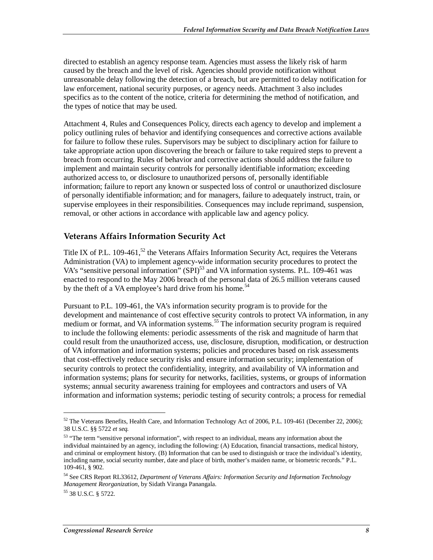directed to establish an agency response team. Agencies must assess the likely risk of harm caused by the breach and the level of risk. Agencies should provide notification without unreasonable delay following the detection of a breach, but are permitted to delay notification for law enforcement, national security purposes, or agency needs. Attachment 3 also includes specifics as to the content of the notice, criteria for determining the method of notification, and the types of notice that may be used.

Attachment 4, Rules and Consequences Policy, directs each agency to develop and implement a policy outlining rules of behavior and identifying consequences and corrective actions available for failure to follow these rules. Supervisors may be subject to disciplinary action for failure to take appropriate action upon discovering the breach or failure to take required steps to prevent a breach from occurring. Rules of behavior and corrective actions should address the failure to implement and maintain security controls for personally identifiable information; exceeding authorized access to, or disclosure to unauthorized persons of, personally identifiable information; failure to report any known or suspected loss of control or unauthorized disclosure of personally identifiable information; and for managers, failure to adequately instruct, train, or supervise employees in their responsibilities. Consequences may include reprimand, suspension, removal, or other actions in accordance with applicable law and agency policy.

#### **Veterans Affairs Information Security Act**

Title IX of P.L.  $109-461$ ,<sup>52</sup> the Veterans Affairs Information Security Act, requires the Veterans Administration (VA) to implement agency-wide information security procedures to protect the VA's "sensitive personal information" (SPI)<sup>53</sup> and VA information systems. P.L. 109-461 was enacted to respond to the May 2006 breach of the personal data of 26.5 million veterans caused by the theft of a VA employee's hard drive from his home.<sup>54</sup>

Pursuant to P.L. 109-461, the VA's information security program is to provide for the development and maintenance of cost effective security controls to protect VA information, in any medium or format, and VA information systems.<sup>55</sup> The information security program is required to include the following elements: periodic assessments of the risk and magnitude of harm that could result from the unauthorized access, use, disclosure, disruption, modification, or destruction of VA information and information systems; policies and procedures based on risk assessments that cost-effectively reduce security risks and ensure information security; implementation of security controls to protect the confidentiality, integrity, and availability of VA information and information systems; plans for security for networks, facilities, systems, or groups of information systems; annual security awareness training for employees and contractors and users of VA information and information systems; periodic testing of security controls; a process for remedial

<sup>&</sup>lt;sup>52</sup> The Veterans Benefits, Health Care, and Information Technology Act of 2006, P.L. 109-461 (December 22, 2006); 38 U.S.C. §§ 5722 *et seq.*

<sup>&</sup>lt;sup>53</sup> "The term "sensitive personal information", with respect to an individual, means any information about the individual maintained by an agency, including the following: (A) Education, financial transactions, medical history, and criminal or employment history. (B) Information that can be used to distinguish or trace the individual's identity, including name, social security number, date and place of birth, mother's maiden name, or biometric records." P.L. 109-461, § 902.

<sup>54</sup> See CRS Report RL33612, *Department of Veterans Affairs: Information Security and Information Technology Management Reorganization*, by Sidath Viranga Panangala.

<sup>55 38</sup> U.S.C. § 5722.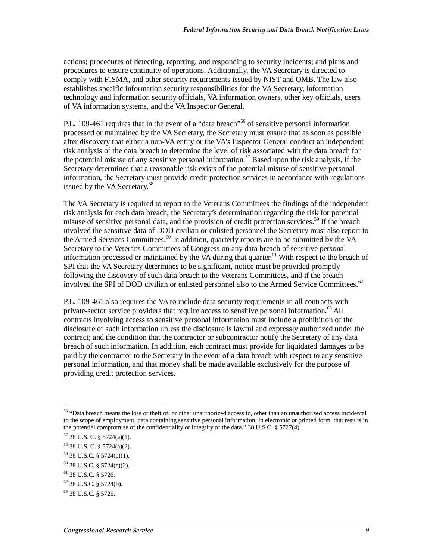actions; procedures of detecting, reporting, and responding to security incidents; and plans and procedures to ensure continuity of operations. Additionally, the VA Secretary is directed to comply with FISMA, and other security requirements issued by NIST and OMB. The law also establishes specific information security responsibilities for the VA Secretary, information technology and information security officials, VA information owners, other key officials, users of VA information systems, and the VA Inspector General.

P.L. 109-461 requires that in the event of a "data breach"<sup>56</sup> of sensitive personal information processed or maintained by the VA Secretary, the Secretary must ensure that as soon as possible after discovery that either a non-VA entity or the VA's Inspector General conduct an independent risk analysis of the data breach to determine the level of risk associated with the data breach for the potential misuse of any sensitive personal information.<sup>57</sup> Based upon the risk analysis, if the Secretary determines that a reasonable risk exists of the potential misuse of sensitive personal information, the Secretary must provide credit protection services in accordance with regulations issued by the VA Secretary.<sup>58</sup>

The VA Secretary is required to report to the Veterans Committees the findings of the independent risk analysis for each data breach, the Secretary's determination regarding the risk for potential misuse of sensitive personal data, and the provision of credit protection services.<sup>59</sup> If the breach involved the sensitive data of DOD civilian or enlisted personnel the Secretary must also report to the Armed Services Committees.<sup>60</sup> In addition, quarterly reports are to be submitted by the VA Secretary to the Veterans Committees of Congress on any data breach of sensitive personal information processed or maintained by the VA during that quarter.<sup>61</sup> With respect to the breach of SPI that the VA Secretary determines to be significant, notice must be provided promptly following the discovery of such data breach to the Veterans Committees, and if the breach involved the SPI of DOD civilian or enlisted personnel also to the Armed Service Committees.<sup>62</sup>

P.L. 109-461 also requires the VA to include data security requirements in all contracts with private-sector service providers that require access to sensitive personal information.<sup>63</sup> All contracts involving access to sensitive personal information must include a prohibition of the disclosure of such information unless the disclosure is lawful and expressly authorized under the contract; and the condition that the contractor or subcontractor notify the Secretary of any data breach of such information. In addition, each contract must provide for liquidated damages to be paid by the contractor to the Secretary in the event of a data breach with respect to any sensitive personal information, and that money shall be made available exclusively for the purpose of providing credit protection services.

<sup>56 &</sup>quot;Data breach means the loss or theft of, or other unauthorized access to, other than an unauthorized access incidental to the scope of employment, data containing sensitive personal information, in electronic or printed form, that results in the potential compromise of the confidentiality or integrity of the data." 38 U.S.C. § 5727(4).

 $57$  38 U.S. C. § 5724(a)(1).

<sup>58 38</sup> U.S. C. § 5724(a)(2).

<sup>59 38</sup> U.S.C. § 5724(c)(1).

 $60$  38 U.S.C. § 5724(c)(2).

<sup>61 38</sup> U.S.C. § 5726.

 $62$  38 U.S.C. § 5724(b).

<sup>63 38</sup> U.S.C. § 5725.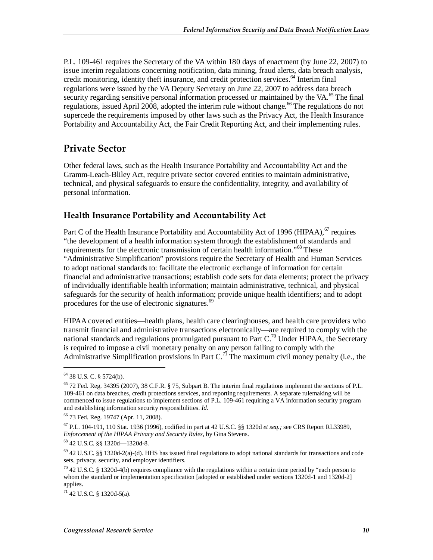P.L. 109-461 requires the Secretary of the VA within 180 days of enactment (by June 22, 2007) to issue interim regulations concerning notification, data mining, fraud alerts, data breach analysis, credit monitoring, identity theft insurance, and credit protection services.<sup>64</sup> Interim final regulations were issued by the VA Deputy Secretary on June 22, 2007 to address data breach security regarding sensitive personal information processed or maintained by the VA.<sup>65</sup> The final regulations, issued April 2008, adopted the interim rule without change.<sup>66</sup> The regulations do not supercede the requirements imposed by other laws such as the Privacy Act, the Health Insurance Portability and Accountability Act, the Fair Credit Reporting Act, and their implementing rules.

### **Private Sector**

Other federal laws, such as the Health Insurance Portability and Accountability Act and the Gramm-Leach-Bliley Act, require private sector covered entities to maintain administrative, technical, and physical safeguards to ensure the confidentiality, integrity, and availability of personal information.

#### **Health Insurance Portability and Accountability Act**

Part C of the Health Insurance Portability and Accountability Act of 1996 (HIPAA),  $\sigma$  requires "the development of a health information system through the establishment of standards and requirements for the electronic transmission of certain health information."<sup>68</sup> These "Administrative Simplification" provisions require the Secretary of Health and Human Services to adopt national standards to: facilitate the electronic exchange of information for certain financial and administrative transactions; establish code sets for data elements; protect the privacy of individually identifiable health information; maintain administrative, technical, and physical safeguards for the security of health information; provide unique health identifiers; and to adopt procedures for the use of electronic signatures.<sup>69</sup>

HIPAA covered entities—health plans, health care clearinghouses, and health care providers who transmit financial and administrative transactions electronically—are required to comply with the national standards and regulations promulgated pursuant to Part  $C^{70}$  Under HIPAA, the Secretary is required to impose a civil monetary penalty on any person failing to comply with the Administrative Simplification provisions in Part C.<sup>71</sup> The maximum civil money penalty (i.e., the

<sup>64 38</sup> U.S. C. § 5724(b).

<sup>65 72</sup> Fed. Reg. 34395 (2007), 38 C.F.R. § 75, Subpart B. The interim final regulations implement the sections of P.L. 109-461 on data breaches, credit protections services, and reporting requirements. A separate rulemaking will be commenced to issue regulations to implement sections of P.L. 109-461 requiring a VA information security program and establishing information security responsibilities. *Id.*

<sup>66 73</sup> Fed. Reg. 19747 (Apr. 11, 2008).

<sup>67</sup> P.L. 104-191, 110 Stat. 1936 (1996), codified in part at 42 U.S.C. §§ 1320d *et seq.;* see CRS Report RL33989, *Enforcement of the HIPAA Privacy and Security Rules*, by Gina Stevens.

<sup>68 42</sup> U.S.C. §§ 1320d—1320d-8.

 $^{69}$  42 U.S.C. §§ 1320d-2(a)-(d). HHS has issued final regulations to adopt national standards for transactions and code sets, privacy, security, and employer identifiers.

 $70$  42 U.S.C. § 1320d-4(b) requires compliance with the regulations within a certain time period by "each person to whom the standard or implementation specification [adopted or established under sections 1320d-1 and 1320d-2] applies.

 $71$  42 U.S.C. § 1320d-5(a).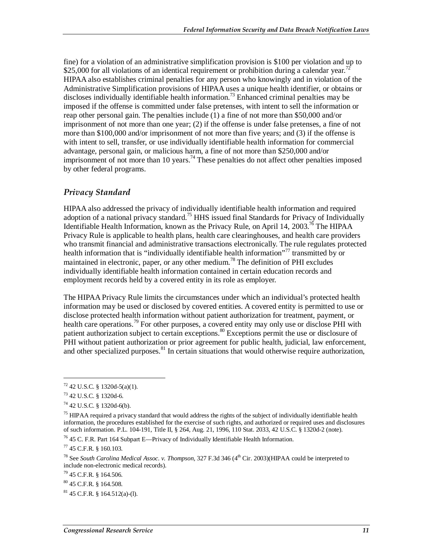fine) for a violation of an administrative simplification provision is \$100 per violation and up to \$25,000 for all violations of an identical requirement or prohibition during a calendar year.<sup>72</sup> HIPAA also establishes criminal penalties for any person who knowingly and in violation of the Administrative Simplification provisions of HIPAA uses a unique health identifier, or obtains or discloses individually identifiable health information.<sup>73</sup> Enhanced criminal penalties may be imposed if the offense is committed under false pretenses, with intent to sell the information or reap other personal gain. The penalties include (1) a fine of not more than \$50,000 and/or imprisonment of not more than one year; (2) if the offense is under false pretenses, a fine of not more than \$100,000 and/or imprisonment of not more than five years; and (3) if the offense is with intent to sell, transfer, or use individually identifiable health information for commercial advantage, personal gain, or malicious harm, a fine of not more than \$250,000 and/or imprisonment of not more than 10 years.<sup>74</sup> These penalties do not affect other penalties imposed by other federal programs.

#### *Privacy Standard*

HIPAA also addressed the privacy of individually identifiable health information and required adoption of a national privacy standard.<sup>75</sup> HHS issued final Standards for Privacy of Individually Identifiable Health Information, known as the Privacy Rule, on April 14, 2003.<sup>76</sup> The HIPAA Privacy Rule is applicable to health plans, health care clearinghouses, and health care providers who transmit financial and administrative transactions electronically. The rule regulates protected health information that is "individually identifiable health information"<sup>77</sup> transmitted by or maintained in electronic, paper, or any other medium.78 The definition of PHI excludes individually identifiable health information contained in certain education records and employment records held by a covered entity in its role as employer.

The HIPAA Privacy Rule limits the circumstances under which an individual's protected health information may be used or disclosed by covered entities. A covered entity is permitted to use or disclose protected health information without patient authorization for treatment, payment, or health care operations.<sup>79</sup> For other purposes, a covered entity may only use or disclose PHI with patient authorization subject to certain exceptions.<sup>80</sup> Exceptions permit the use or disclosure of PHI without patient authorization or prior agreement for public health, judicial, law enforcement, and other specialized purposes. $81$  In certain situations that would otherwise require authorization,

 $72$  42 U.S.C. § 1320d-5(a)(1).

<sup>73 42</sup> U.S.C. § 1320d-6.

<sup>74 42</sup> U.S.C. § 1320d-6(b).

<sup>&</sup>lt;sup>75</sup> HIPAA required a privacy standard that would address the rights of the subject of individually identifiable health information, the procedures established for the exercise of such rights, and authorized or required uses and disclosures of such information. P.L. 104-191, Title II, § 264, Aug. 21, 1996, 110 Stat. 2033, 42 U.S.C. § 1320d-2 (note).

<sup>76 45</sup> C. F.R. Part 164 Subpart E—Privacy of Individually Identifiable Health Information.

<sup>77 45</sup> C.F.R. § 160.103.

<sup>&</sup>lt;sup>78</sup> See *South Carolina Medical Assoc. v. Thompson*, 327 F.3d 346 (4<sup>th</sup> Cir. 2003)(HIPAA could be interpreted to include non-electronic medical records).

<sup>79 45</sup> C.F.R. § 164.506.

<sup>80 45</sup> C.F.R. § 164.508.

 $81$  45 C.F.R. § 164.512(a)-(1).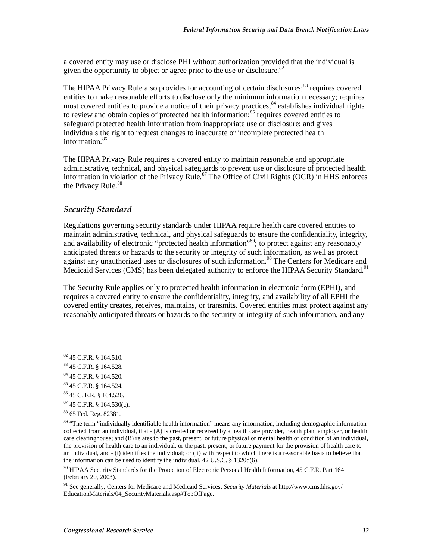a covered entity may use or disclose PHI without authorization provided that the individual is given the opportunity to object or agree prior to the use or disclosure.<sup>82</sup>

The HIPAA Privacy Rule also provides for accounting of certain disclosures;<sup>83</sup> requires covered entities to make reasonable efforts to disclose only the minimum information necessary; requires most covered entities to provide a notice of their privacy practices;<sup>84</sup> establishes individual rights to review and obtain copies of protected health information; $^{85}$  requires covered entities to safeguard protected health information from inappropriate use or disclosure; and gives individuals the right to request changes to inaccurate or incomplete protected health information.<sup>86</sup>

The HIPAA Privacy Rule requires a covered entity to maintain reasonable and appropriate administrative, technical, and physical safeguards to prevent use or disclosure of protected health information in violation of the Privacy Rule.<sup>87</sup> The Office of Civil Rights (OCR) in HHS enforces the Privacy Rule.<sup>88</sup>

#### *Security Standard*

Regulations governing security standards under HIPAA require health care covered entities to maintain administrative, technical, and physical safeguards to ensure the confidentiality, integrity, and availability of electronic "protected health information"<sup>89</sup>; to protect against any reasonably anticipated threats or hazards to the security or integrity of such information, as well as protect against any unauthorized uses or disclosures of such information.<sup>90</sup> The Centers for Medicare and Medicaid Services (CMS) has been delegated authority to enforce the HIPAA Security Standard.<sup>91</sup>

The Security Rule applies only to protected health information in electronic form (EPHI), and requires a covered entity to ensure the confidentiality, integrity, and availability of all EPHI the covered entity creates, receives, maintains, or transmits. Covered entities must protect against any reasonably anticipated threats or hazards to the security or integrity of such information, and any

1

 $87$  45 C.F.R. § 164.530(c).

<sup>82 45</sup> C.F.R. § 164.510.

<sup>83 45</sup> C.F.R. § 164.528.

<sup>84 45</sup> C.F.R. § 164.520.

<sup>85 45</sup> C.F.R. § 164.524.

<sup>86 45</sup> C. F.R. § 164.526.

<sup>88 65</sup> Fed. Reg. 82381.

<sup>&</sup>lt;sup>89</sup> "The term "individually identifiable health information" means any information, including demographic information collected from an individual, that - (A) is created or received by a health care provider, health plan, employer, or health care clearinghouse; and (B) relates to the past, present, or future physical or mental health or condition of an individual, the provision of health care to an individual, or the past, present, or future payment for the provision of health care to an individual, and - (i) identifies the individual; or (ii) with respect to which there is a reasonable basis to believe that the information can be used to identify the individual. 42 U.S.C. § 1320d(6).

<sup>&</sup>lt;sup>90</sup> HIPAA Security Standards for the Protection of Electronic Personal Health Information, 45 C.F.R. Part 164 (February 20, 2003).

<sup>91</sup> See generally, Centers for Medicare and Medicaid Services, *Security Materials* at http://www.cms.hhs.gov/ EducationMaterials/04\_SecurityMaterials.asp#TopOfPage.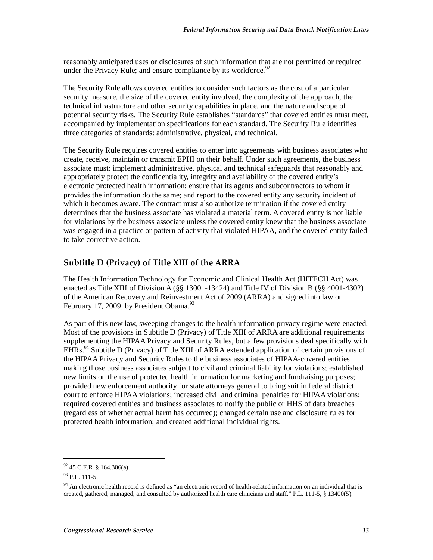reasonably anticipated uses or disclosures of such information that are not permitted or required under the Privacy Rule; and ensure compliance by its workforce.<sup>92</sup>

The Security Rule allows covered entities to consider such factors as the cost of a particular security measure, the size of the covered entity involved, the complexity of the approach, the technical infrastructure and other security capabilities in place, and the nature and scope of potential security risks. The Security Rule establishes "standards" that covered entities must meet, accompanied by implementation specifications for each standard. The Security Rule identifies three categories of standards: administrative, physical, and technical.

The Security Rule requires covered entities to enter into agreements with business associates who create, receive, maintain or transmit EPHI on their behalf. Under such agreements, the business associate must: implement administrative, physical and technical safeguards that reasonably and appropriately protect the confidentiality, integrity and availability of the covered entity's electronic protected health information; ensure that its agents and subcontractors to whom it provides the information do the same; and report to the covered entity any security incident of which it becomes aware. The contract must also authorize termination if the covered entity determines that the business associate has violated a material term. A covered entity is not liable for violations by the business associate unless the covered entity knew that the business associate was engaged in a practice or pattern of activity that violated HIPAA, and the covered entity failed to take corrective action.

#### **Subtitle D (Privacy) of Title XIII of the ARRA**

The Health Information Technology for Economic and Clinical Health Act (HITECH Act) was enacted as Title XIII of Division A (§§ 13001-13424) and Title IV of Division B (§§ 4001-4302) of the American Recovery and Reinvestment Act of 2009 (ARRA) and signed into law on February 17, 2009, by President Obama. $93$ 

As part of this new law, sweeping changes to the health information privacy regime were enacted. Most of the provisions in Subtitle D (Privacy) of Title XIII of ARRA are additional requirements supplementing the HIPAA Privacy and Security Rules, but a few provisions deal specifically with EHRs.<sup>94</sup> Subtitle D (Privacy) of Title XIII of ARRA extended application of certain provisions of the HIPAA Privacy and Security Rules to the business associates of HIPAA-covered entities making those business associates subject to civil and criminal liability for violations; established new limits on the use of protected health information for marketing and fundraising purposes; provided new enforcement authority for state attorneys general to bring suit in federal district court to enforce HIPAA violations; increased civil and criminal penalties for HIPAA violations; required covered entities and business associates to notify the public or HHS of data breaches (regardless of whether actual harm has occurred); changed certain use and disclosure rules for protected health information; and created additional individual rights.

 $92$  45 C.F.R. § 164.306(a).

 $93$  P.L. 111-5.

<sup>&</sup>lt;sup>94</sup> An electronic health record is defined as "an electronic record of health-related information on an individual that is created, gathered, managed, and consulted by authorized health care clinicians and staff." P.L. 111-5, § 13400(5).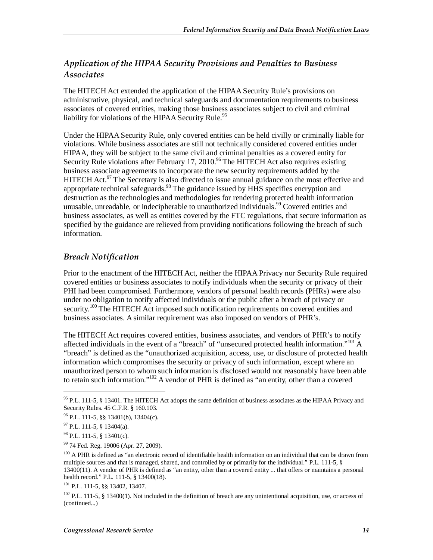#### *Application of the HIPAA Security Provisions and Penalties to Business Associates*

The HITECH Act extended the application of the HIPAA Security Rule's provisions on administrative, physical, and technical safeguards and documentation requirements to business associates of covered entities, making those business associates subject to civil and criminal liability for violations of the HIPAA Security Rule.<sup>95</sup>

Under the HIPAA Security Rule, only covered entities can be held civilly or criminally liable for violations. While business associates are still not technically considered covered entities under HIPAA, they will be subject to the same civil and criminal penalties as a covered entity for Security Rule violations after February 17, 2010.<sup>96</sup> The HITECH Act also requires existing business associate agreements to incorporate the new security requirements added by the HITECH Act.<sup>97</sup> The Secretary is also directed to issue annual guidance on the most effective and appropriate technical safeguards.<sup>98</sup> The guidance issued by HHS specifies encryption and destruction as the technologies and methodologies for rendering protected health information unusable, unreadable, or indecipherable to unauthorized individuals.<sup>99</sup> Covered entities and business associates, as well as entities covered by the FTC regulations, that secure information as specified by the guidance are relieved from providing notifications following the breach of such information.

#### *Breach Notification*

Prior to the enactment of the HITECH Act, neither the HIPAA Privacy nor Security Rule required covered entities or business associates to notify individuals when the security or privacy of their PHI had been compromised. Furthermore, vendors of personal health records (PHRs) were also under no obligation to notify affected individuals or the public after a breach of privacy or security.<sup>100</sup> The HITECH Act imposed such notification requirements on covered entities and business associates. A similar requirement was also imposed on vendors of PHR's.

The HITECH Act requires covered entities, business associates, and vendors of PHR's to notify affected individuals in the event of a "breach" of "unsecured protected health information."<sup>101</sup> A "breach" is defined as the "unauthorized acquisition, access, use, or disclosure of protected health information which compromises the security or privacy of such information, except where an unauthorized person to whom such information is disclosed would not reasonably have been able to retain such information."<sup>102</sup> A vendor of PHR is defined as "an entity, other than a covered

<sup>&</sup>lt;sup>95</sup> P.L. 111-5, § 13401. The HITECH Act adopts the same definition of business associates as the HIPAA Privacy and Security Rules. 45 C.F.R. § 160.103.

 $96$  P.L. 111-5, §§ 13401(b), 13404(c).

 $97$  P.L. 111-5, § 13404(a).

 $98$  P.L. 111-5, § 13401(c).

<sup>&</sup>lt;sup>99</sup> 74 Fed. Reg. 19006 (Apr. 27, 2009).

<sup>&</sup>lt;sup>100</sup> A PHR is defined as "an electronic record of identifiable health information on an individual that can be drawn from multiple sources and that is managed, shared, and controlled by or primarily for the individual." P.L. 111-5, § 13400(11). A vendor of PHR is defined as "an entity, other than a covered entity ... that offers or maintains a personal health record." P.L. 111-5, § 13400(18).

<sup>101</sup> P.L. 111-5, §§ 13402, 13407.

 $102$  P.L. 111-5, § 13400(1). Not included in the definition of breach are any unintentional acquisition, use, or access of (continued...)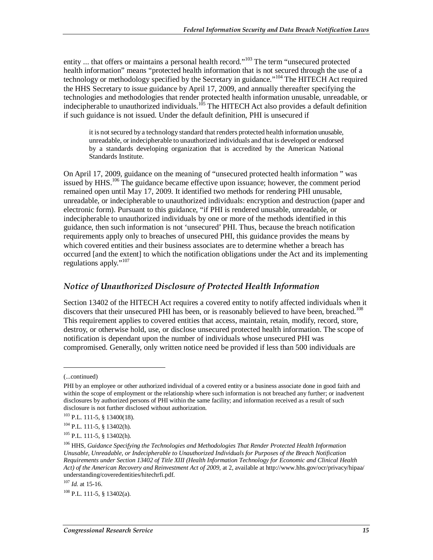entity ... that offers or maintains a personal health record."<sup>103</sup> The term "unsecured protected health information" means "protected health information that is not secured through the use of a technology or methodology specified by the Secretary in guidance."104 The HITECH Act required the HHS Secretary to issue guidance by April 17, 2009, and annually thereafter specifying the technologies and methodologies that render protected health information unusable, unreadable, or indecipherable to unauthorized individuals.<sup>105</sup> The HITECH Act also provides a default definition if such guidance is not issued. Under the default definition, PHI is unsecured if

it is not secured by a technology standard that renders protected health information unusable, unreadable, or indecipherable to unauthorized individuals and that is developed or endorsed by a standards developing organization that is accredited by the American National Standards Institute.

On April 17, 2009, guidance on the meaning of "unsecured protected health information " was issued by  $HHS$ <sup>106</sup>. The guidance became effective upon issuance; however, the comment period remained open until May 17, 2009. It identified two methods for rendering PHI unusable, unreadable, or indecipherable to unauthorized individuals: encryption and destruction (paper and electronic form). Pursuant to this guidance, "if PHI is rendered unusable, unreadable, or indecipherable to unauthorized individuals by one or more of the methods identified in this guidance, then such information is not 'unsecured' PHI. Thus, because the breach notification requirements apply only to breaches of unsecured PHI, this guidance provides the means by which covered entities and their business associates are to determine whether a breach has occurred [and the extent] to which the notification obligations under the Act and its implementing regulations apply."<sup>107</sup>

#### *Notice of Unauthorized Disclosure of Protected Health Information*

Section 13402 of the HITECH Act requires a covered entity to notify affected individuals when it discovers that their unsecured PHI has been, or is reasonably believed to have been, breached.<sup>108</sup> This requirement applies to covered entities that access, maintain, retain, modify, record, store, destroy, or otherwise hold, use, or disclose unsecured protected health information. The scope of notification is dependant upon the number of individuals whose unsecured PHI was compromised. Generally, only written notice need be provided if less than 500 individuals are

<sup>(...</sup>continued)

PHI by an employee or other authorized individual of a covered entity or a business associate done in good faith and within the scope of employment or the relationship where such information is not breached any further; or inadvertent disclosures by authorized persons of PHI within the same facility; and information received as a result of such disclosure is not further disclosed without authorization.

<sup>103</sup> P.L. 111-5, § 13400(18).

<sup>104</sup> P.L. 111-5, § 13402(h).

<sup>105</sup> P.L. 111-5, § 13402(h).

<sup>106</sup> HHS, *Guidance Specifying the Technologies and Methodologies That Render Protected Health Information Unusable, Unreadable, or Indecipherable to Unauthorized Individuals for Purposes of the Breach Notification Requirements under Section 13402 of Title XIII (Health Information Technology for Economic and Clinical Health Act) of the American Recovery and Reinvestment Act of 2009*, at 2, available at http://www.hhs.gov/ocr/privacy/hipaa/ understanding/coveredentities/hitechrfi.pdf.

<sup>107</sup> *Id.* at 15-16.

<sup>108</sup> P.L. 111-5, § 13402(a).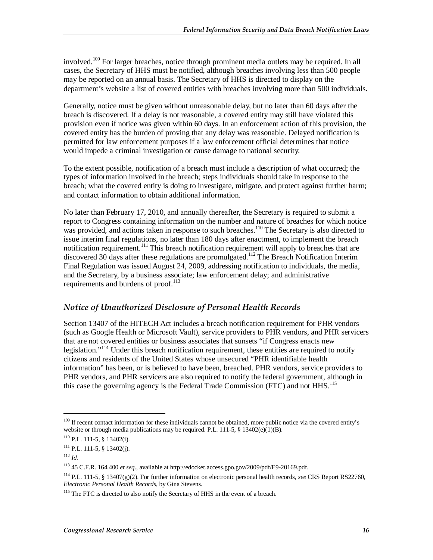involved.<sup>109</sup> For larger breaches, notice through prominent media outlets may be required. In all cases, the Secretary of HHS must be notified, although breaches involving less than 500 people may be reported on an annual basis. The Secretary of HHS is directed to display on the department's website a list of covered entities with breaches involving more than 500 individuals.

Generally, notice must be given without unreasonable delay, but no later than 60 days after the breach is discovered. If a delay is not reasonable, a covered entity may still have violated this provision even if notice was given within 60 days. In an enforcement action of this provision, the covered entity has the burden of proving that any delay was reasonable. Delayed notification is permitted for law enforcement purposes if a law enforcement official determines that notice would impede a criminal investigation or cause damage to national security.

To the extent possible, notification of a breach must include a description of what occurred; the types of information involved in the breach; steps individuals should take in response to the breach; what the covered entity is doing to investigate, mitigate, and protect against further harm; and contact information to obtain additional information.

No later than February 17, 2010, and annually thereafter, the Secretary is required to submit a report to Congress containing information on the number and nature of breaches for which notice was provided, and actions taken in response to such breaches.<sup>110</sup> The Secretary is also directed to issue interim final regulations, no later than 180 days after enactment, to implement the breach notification requirement.<sup>111</sup> This breach notification requirement will apply to breaches that are discovered 30 days after these regulations are promulgated.<sup>112</sup> The Breach Notification Interim Final Regulation was issued August 24, 2009, addressing notification to individuals, the media, and the Secretary, by a business associate; law enforcement delay; and administrative requirements and burdens of proof.<sup>113</sup>

#### *Notice of Unauthorized Disclosure of Personal Health Records*

Section 13407 of the HITECH Act includes a breach notification requirement for PHR vendors (such as Google Health or Microsoft Vault), service providers to PHR vendors, and PHR servicers that are not covered entities or business associates that sunsets "if Congress enacts new legislation."<sup>114</sup> Under this breach notification requirement, these entities are required to notify citizens and residents of the United States whose unsecured "PHR identifiable health information" has been, or is believed to have been, breached. PHR vendors, service providers to PHR vendors, and PHR servicers are also required to notify the federal government, although in this case the governing agency is the Federal Trade Commission (FTC) and not  $HHS$ <sup>115</sup>

<u>.</u>

<sup>&</sup>lt;sup>109</sup> If recent contact information for these individuals cannot be obtained, more public notice via the covered entity's website or through media publications may be required. P.L. 111-5,  $\frac{8}{3}$  13402(e)(1)(B).

 $110$  P.L. 111-5, § 13402(i).

 $111$  P.L. 111-5, § 13402(j).

 $112$  *Id.* 

<sup>113 45</sup> C.F.R. 164.400 *et seq.*, available at http://edocket.access.gpo.gov/2009/pdf/E9-20169.pdf.

<sup>114</sup> P.L. 111-5, § 13407(g)(2). For further information on electronic personal health records, *see* CRS Report RS22760, *Electronic Personal Health Records*, by Gina Stevens.

<sup>&</sup>lt;sup>115</sup> The FTC is directed to also notify the Secretary of HHS in the event of a breach.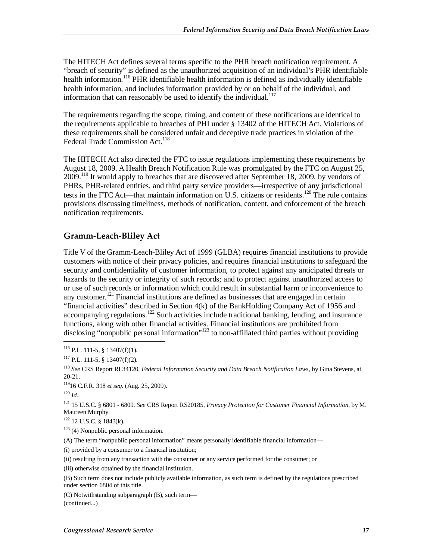The HITECH Act defines several terms specific to the PHR breach notification requirement. A "breach of security" is defined as the unauthorized acquisition of an individual's PHR identifiable health information.<sup>116</sup> PHR identifiable health information is defined as individually identifiable health information, and includes information provided by or on behalf of the individual, and information that can reasonably be used to identify the individual.<sup>117</sup>

The requirements regarding the scope, timing, and content of these notifications are identical to the requirements applicable to breaches of PHI under § 13402 of the HITECH Act. Violations of these requirements shall be considered unfair and deceptive trade practices in violation of the Federal Trade Commission Act.<sup>118</sup>

The HITECH Act also directed the FTC to issue regulations implementing these requirements by August 18, 2009. A Health Breach Notification Rule was promulgated by the FTC on August 25,  $2009$ <sup>119</sup> It would apply to breaches that are discovered after September 18, 2009, by vendors of PHRs, PHR-related entities, and third party service providers—irrespective of any jurisdictional tests in the FTC Act—that maintain information on U.S. citizens or residents.<sup>120</sup> The rule contains provisions discussing timeliness, methods of notification, content, and enforcement of the breach notification requirements.

#### **Gramm-Leach-Bliley Act**

Title V of the Gramm-Leach-Bliley Act of 1999 (GLBA) requires financial institutions to provide customers with notice of their privacy policies, and requires financial institutions to safeguard the security and confidentiality of customer information, to protect against any anticipated threats or hazards to the security or integrity of such records; and to protect against unauthorized access to or use of such records or information which could result in substantial harm or inconvenience to any customer.<sup>121</sup> Financial institutions are defined as businesses that are engaged in certain "financial activities" described in Section 4(k) of the BankHolding Company Act of 1956 and accompanying regulations.<sup>122</sup> Such activities include traditional banking, lending, and insurance functions, along with other financial activities. Financial institutions are prohibited from disclosing "nonpublic personal information"<sup>123</sup> to non-affiliated third parties without providing

122 12 U.S.C. § 1843(k).

 $123$  (4) Nonpublic personal information.

(A) The term "nonpublic personal information" means personally identifiable financial information—

(i) provided by a consumer to a financial institution;

(ii) resulting from any transaction with the consumer or any service performed for the consumer; or

(iii) otherwise obtained by the financial institution.

(C) Notwithstanding subparagraph (B), such term— (continued...)

 $116$  P.L. 111-5, § 13407(f)(1).

 $117$  P.L. 111-5, § 13407(f)(2).

<sup>118</sup> *See* CRS Report RL34120, *Federal Information Security and Data Breach Notification Laws*, by Gina Stevens, at 20-21.

<sup>11916</sup> C.F.R. 318 *et seq.* (Aug. 25, 2009).

 $120$  *Id.* 

<sup>121 15</sup> U.S.C. § 6801 - 6809. *See* CRS Report RS20185, *Privacy Protection for Customer Financial Information*, by M. Maureen Murphy.

<sup>(</sup>B) Such term does not include publicly available information, as such term is defined by the regulations prescribed under section 6804 of this title.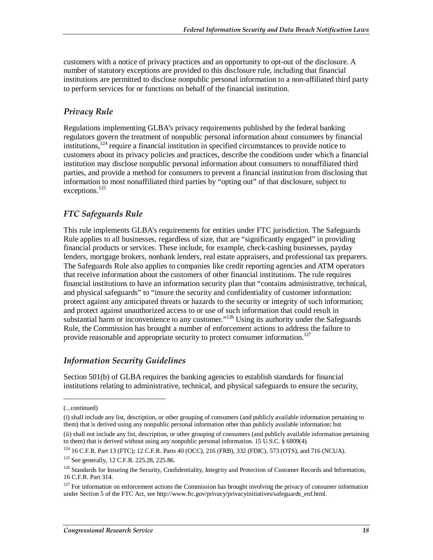customers with a notice of privacy practices and an opportunity to opt-out of the disclosure. A number of statutory exceptions are provided to this disclosure rule, including that financial institutions are permitted to disclose nonpublic personal information to a non-affiliated third party to perform services for or functions on behalf of the financial institution.

#### *Privacy Rule*

Regulations implementing GLBA's privacy requirements published by the federal banking regulators govern the treatment of nonpublic personal information about consumers by financial institutions,124 require a financial institution in specified circumstances to provide notice to customers about its privacy policies and practices, describe the conditions under which a financial institution may disclose nonpublic personal information about consumers to nonaffiliated third parties, and provide a method for consumers to prevent a financial institution from disclosing that information to most nonaffiliated third parties by "opting out" of that disclosure, subject to exceptions.<sup>125</sup>

#### *FTC Safeguards Rule*

This rule implements GLBA's requirements for entities under FTC jurisdiction. The Safeguards Rule applies to all businesses, regardless of size, that are "significantly engaged" in providing financial products or services. These include, for example, check-cashing businesses, payday lenders, mortgage brokers, nonbank lenders, real estate appraisers, and professional tax preparers. The Safeguards Rule also applies to companies like credit reporting agencies and ATM operators that receive information about the customers of other financial institutions. The rule requires financial institutions to have an information security plan that "contains administrative, technical, and physical safeguards" to "insure the security and confidentiality of customer information: protect against any anticipated threats or hazards to the security or integrity of such information; and protect against unauthorized access to or use of such information that could result in substantial harm or inconvenience to any customer."<sup>126</sup> Using its authority under the Safeguards Rule, the Commission has brought a number of enforcement actions to address the failure to provide reasonable and appropriate security to protect consumer information.<sup>127</sup>

#### *Information Security Guidelines*

Section 501(b) of GLBA requires the banking agencies to establish standards for financial institutions relating to administrative, technical, and physical safeguards to ensure the security,

<u>.</u>

<sup>(...</sup>continued)

<sup>(</sup>i) shall include any list, description, or other grouping of consumers (and publicly available information pertaining to them) that is derived using any nonpublic personal information other than publicly available information; but

<sup>(</sup>ii) shall not include any list, description, or other grouping of consumers (and publicly available information pertaining to them) that is derived without using any nonpublic personal information. 15 U.S.C. § 6809(4).

 $124$  16 C.F.R. Part 13 (FTC); 12 C.F.R. Parts 40 (OCC), 216 (FRB), 332 (FDIC), 573 (OTS), and 716 (NCUA).

<sup>&</sup>lt;sup>125</sup> See generally, 12 C.F.R. 225.28, 225.86.

<sup>&</sup>lt;sup>126</sup> Standards for Insuring the Security, Confidentiality, Integrity and Protection of Customer Records and Information, 16 C.F.R. Part 314.

 $127$  For information on enforcement actions the Commission has brought involving the privacy of consumer information under Section 5 of the FTC Act, see http://www.ftc.gov/privacy/privacyinitiatives/safeguards\_enf.html.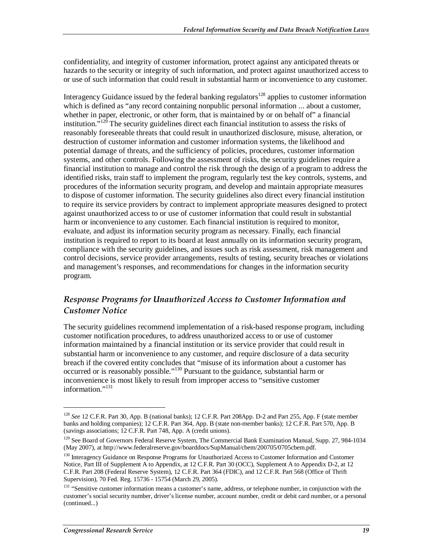confidentiality, and integrity of customer information, protect against any anticipated threats or hazards to the security or integrity of such information, and protect against unauthorized access to or use of such information that could result in substantial harm or inconvenience to any customer.

Interagency Guidance issued by the federal banking regulators<sup>128</sup> applies to customer information which is defined as "any record containing nonpublic personal information ... about a customer, whether in paper, electronic, or other form, that is maintained by or on behalf of" a financial institution."<sup>129</sup> The security guidelines direct each financial institution to assess the risks of reasonably foreseeable threats that could result in unauthorized disclosure, misuse, alteration, or destruction of customer information and customer information systems, the likelihood and potential damage of threats, and the sufficiency of policies, procedures, customer information systems, and other controls. Following the assessment of risks, the security guidelines require a financial institution to manage and control the risk through the design of a program to address the identified risks, train staff to implement the program, regularly test the key controls, systems, and procedures of the information security program, and develop and maintain appropriate measures to dispose of customer information. The security guidelines also direct every financial institution to require its service providers by contract to implement appropriate measures designed to protect against unauthorized access to or use of customer information that could result in substantial harm or inconvenience to any customer. Each financial institution is required to monitor, evaluate, and adjust its information security program as necessary. Finally, each financial institution is required to report to its board at least annually on its information security program, compliance with the security guidelines, and issues such as risk assessment, risk management and control decisions, service provider arrangements, results of testing, security breaches or violations and management's responses, and recommendations for changes in the information security program.

#### *Response Programs for Unauthorized Access to Customer Information and Customer Notice*

The security guidelines recommend implementation of a risk-based response program, including customer notification procedures, to address unauthorized access to or use of customer information maintained by a financial institution or its service provider that could result in substantial harm or inconvenience to any customer, and require disclosure of a data security breach if the covered entity concludes that "misuse of its information about a customer has occurred or is reasonably possible."130 Pursuant to the guidance, substantial harm or inconvenience is most likely to result from improper access to "sensitive customer information."<sup>131</sup>

<u>.</u>

<sup>&</sup>lt;sup>128</sup> See 12 C.F.R. Part 30, App. B (national banks); 12 C.F.R. Part 208App. D-2 and Part 255, App. F (state member banks and holding companies); 12 C.F.R. Part 364, App. B (state non-member banks); 12 C.F.R. Part 570, App. B (savings associations; 12 C.F.R. Part 748, App. A (credit unions).

<sup>&</sup>lt;sup>129</sup> See Board of Governors Federal Reserve System, The Commercial Bank Examination Manual, Supp. 27, 984-1034 (May 2007), at http://www.federalreserve.gov/boarddocs/SupManual/cbem/200705/0705cbem.pdf.

<sup>&</sup>lt;sup>130</sup> Interagency Guidance on Response Programs for Unauthorized Access to Customer Information and Customer Notice, Part III of Supplement A to Appendix, at 12 C.F.R. Part 30 (OCC), Supplement A to Appendix D-2, at 12 C.F.R. Part 208 (Federal Reserve System), 12 C.F.R. Part 364 (FDIC), and 12 C.F.R. Part 568 (Office of Thrift Supervision), 70 Fed. Reg. 15736 - 15754 (March 29, 2005).

<sup>&</sup>lt;sup>131</sup> "Sensitive customer information means a customer's name, address, or telephone number, in conjunction with the customer's social security number, driver's license number, account number, credit or debit card number, or a personal (continued...)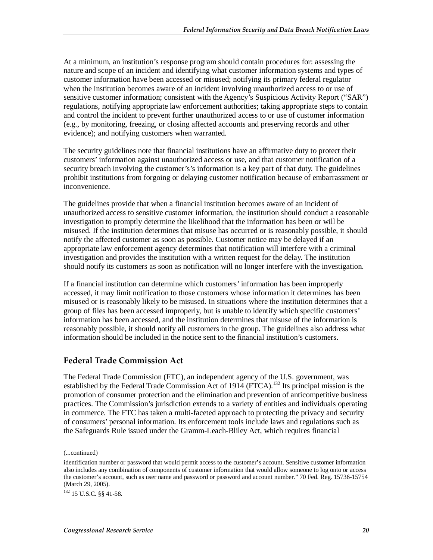At a minimum, an institution's response program should contain procedures for: assessing the nature and scope of an incident and identifying what customer information systems and types of customer information have been accessed or misused; notifying its primary federal regulator when the institution becomes aware of an incident involving unauthorized access to or use of sensitive customer information; consistent with the Agency's Suspicious Activity Report ("SAR") regulations, notifying appropriate law enforcement authorities; taking appropriate steps to contain and control the incident to prevent further unauthorized access to or use of customer information (e.g., by monitoring, freezing, or closing affected accounts and preserving records and other evidence); and notifying customers when warranted.

The security guidelines note that financial institutions have an affirmative duty to protect their customers' information against unauthorized access or use, and that customer notification of a security breach involving the customer's's information is a key part of that duty. The guidelines prohibit institutions from forgoing or delaying customer notification because of embarrassment or inconvenience.

The guidelines provide that when a financial institution becomes aware of an incident of unauthorized access to sensitive customer information, the institution should conduct a reasonable investigation to promptly determine the likelihood that the information has been or will be misused. If the institution determines that misuse has occurred or is reasonably possible, it should notify the affected customer as soon as possible. Customer notice may be delayed if an appropriate law enforcement agency determines that notification will interfere with a criminal investigation and provides the institution with a written request for the delay. The institution should notify its customers as soon as notification will no longer interfere with the investigation.

If a financial institution can determine which customers' information has been improperly accessed, it may limit notification to those customers whose information it determines has been misused or is reasonably likely to be misused. In situations where the institution determines that a group of files has been accessed improperly, but is unable to identify which specific customers' information has been accessed, and the institution determines that misuse of the information is reasonably possible, it should notify all customers in the group. The guidelines also address what information should be included in the notice sent to the financial institution's customers.

#### **Federal Trade Commission Act**

The Federal Trade Commission (FTC), an independent agency of the U.S. government, was established by the Federal Trade Commission Act of 1914 (FTCA).<sup>132</sup> Its principal mission is the promotion of consumer protection and the elimination and prevention of anticompetitive business practices. The Commission's jurisdiction extends to a variety of entities and individuals operating in commerce. The FTC has taken a multi-faceted approach to protecting the privacy and security of consumers' personal information. Its enforcement tools include laws and regulations such as the Safeguards Rule issued under the Gramm-Leach-Bliley Act, which requires financial

<sup>(...</sup>continued)

identification number or password that would permit access to the customer's account. Sensitive customer information also includes any combination of components of customer information that would allow someone to log onto or access the customer's account, such as user name and password or password and account number." 70 Fed. Reg. 15736-15754 (March 29, 2005).

<sup>132 15</sup> U.S.C. §§ 41-58.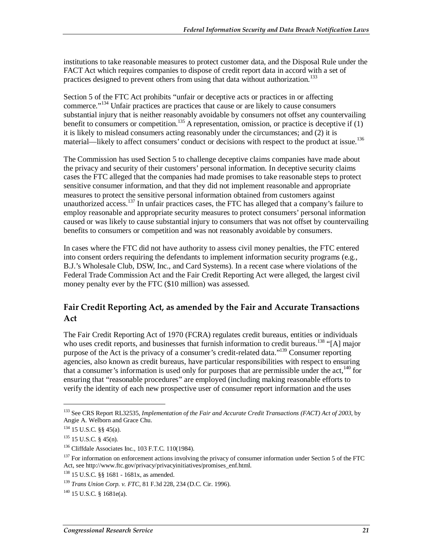institutions to take reasonable measures to protect customer data, and the Disposal Rule under the FACT Act which requires companies to dispose of credit report data in accord with a set of practices designed to prevent others from using that data without authorization.<sup>133</sup>

Section 5 of the FTC Act prohibits "unfair or deceptive acts or practices in or affecting commerce."<sup>134</sup> Unfair practices are practices that cause or are likely to cause consumers substantial injury that is neither reasonably avoidable by consumers not offset any countervailing benefit to consumers or competition.<sup>135</sup> A representation, omission, or practice is deceptive if (1) it is likely to mislead consumers acting reasonably under the circumstances; and (2) it is material—likely to affect consumers' conduct or decisions with respect to the product at issue.<sup>136</sup>

The Commission has used Section 5 to challenge deceptive claims companies have made about the privacy and security of their customers' personal information. In deceptive security claims cases the FTC alleged that the companies had made promises to take reasonable steps to protect sensitive consumer information, and that they did not implement reasonable and appropriate measures to protect the sensitive personal information obtained from customers against unauthorized access.<sup>137</sup> In unfair practices cases, the FTC has alleged that a company's failure to employ reasonable and appropriate security measures to protect consumers' personal information caused or was likely to cause substantial injury to consumers that was not offset by countervailing benefits to consumers or competition and was not reasonably avoidable by consumers.

In cases where the FTC did not have authority to assess civil money penalties, the FTC entered into consent orders requiring the defendants to implement information security programs (e.g., B.J.'s Wholesale Club, DSW, Inc., and Card Systems). In a recent case where violations of the Federal Trade Commission Act and the Fair Credit Reporting Act were alleged, the largest civil money penalty ever by the FTC (\$10 million) was assessed.

#### **Fair Credit Reporting Act, as amended by the Fair and Accurate Transactions Act**

The Fair Credit Reporting Act of 1970 (FCRA) regulates credit bureaus, entities or individuals who uses credit reports, and businesses that furnish information to credit bureaus.<sup>138</sup> "[A] major purpose of the Act is the privacy of a consumer's credit-related data."<sup>139</sup> Consumer reporting agencies, also known as credit bureaus, have particular responsibilities with respect to ensuring that a consumer's information is used only for purposes that are permissible under the act, $^{140}$  for ensuring that "reasonable procedures" are employed (including making reasonable efforts to verify the identity of each new prospective user of consumer report information and the uses

<sup>133</sup> See CRS Report RL32535, *Implementation of the Fair and Accurate Credit Transactions (FACT) Act of 2003*, by Angie A. Welborn and Grace Chu.

 $134$  15 U.S.C.  $88$  45(a).

<sup>135 15</sup> U.S.C. § 45(n).

<sup>&</sup>lt;sup>136</sup> Cliffdale Associates Inc., 103 F.T.C. 110(1984).

 $137$  For information on enforcement actions involving the privacy of consumer information under Section 5 of the FTC Act, see http://www.ftc.gov/privacy/privacyinitiatives/promises\_enf.html.

<sup>138 15</sup> U.S.C. §§ 1681 - 1681x, as amended.

<sup>139</sup> *Trans Union Corp. v. FTC*, 81 F.3d 228, 234 (D.C. Cir. 1996).

 $140$  15 U.S.C. § 1681e(a).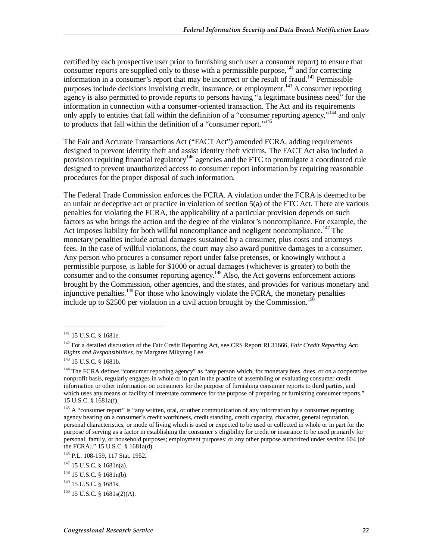certified by each prospective user prior to furnishing such user a consumer report) to ensure that consumer reports are supplied only to those with a permissible purpose,  $141$  and for correcting information in a consumer's report that may be incorrect or the result of fraud.<sup>142</sup> Permissible purposes include decisions involving credit, insurance, or employment.<sup>143</sup> A consumer reporting agency is also permitted to provide reports to persons having "a legitimate business need" for the information in connection with a consumer-oriented transaction. The Act and its requirements only apply to entities that fall within the definition of a "consumer reporting agency,"<sup>144</sup> and only to products that fall within the definition of a "consumer report."<sup>145</sup>

The Fair and Accurate Transactions Act ("FACT Act") amended FCRA, adding requirements designed to prevent identity theft and assist identity theft victims. The FACT Act also included a provision requiring financial regulatory<sup>146</sup> agencies and the FTC to promulgate a coordinated rule designed to prevent unauthorized access to consumer report information by requiring reasonable procedures for the proper disposal of such information.

The Federal Trade Commission enforces the FCRA. A violation under the FCRA is deemed to be an unfair or deceptive act or practice in violation of section 5(a) of the FTC Act. There are various penalties for violating the FCRA, the applicability of a particular provision depends on such factors as who brings the action and the degree of the violator's noncompliance. For example, the Act imposes liability for both willful noncompliance and negligent noncompliance.<sup>147</sup> The monetary penalties include actual damages sustained by a consumer, plus costs and attorneys fees. In the case of willful violations, the court may also award punitive damages to a consumer. Any person who procures a consumer report under false pretenses, or knowingly without a permissible purpose, is liable for \$1000 or actual damages (whichever is greater) to both the consumer and to the consumer reporting agency.<sup>148</sup> Also, the Act governs enforcement actions brought by the Commission, other agencies, and the states, and provides for various monetary and injunctive penalties.<sup>149</sup> For those who knowingly violate the FCRA, the monetary penalties include up to \$2500 per violation in a civil action brought by the Commission.<sup>150</sup>

<sup>&</sup>lt;sup>141</sup> 15 U.S.C. § 1681e.

<sup>142</sup> For a detailed discussion of the Fair Credit Reporting Act, see CRS Report RL31666, *Fair Credit Reporting Act: Rights and Responsibilities*, by Margaret Mikyung Lee. <sup>143</sup> 15 U.S.C. § 1681b.

<sup>&</sup>lt;sup>144</sup> The FCRA defines "consumer reporting agency" as "any person which, for monetary fees, dues, or on a cooperative nonprofit basis, regularly engages in whole or in part in the practice of assembling or evaluating consumer credit information or other information on consumers for the purpose of furnishing consumer reports to third parties, and which uses any means or facility of interstate commerce for the purpose of preparing or furnishing consumer reports." 15 U.S.C. § 1681a(f).

<sup>&</sup>lt;sup>145</sup> A "consumer report" is "any written, oral, or other communication of any information by a consumer reporting agency bearing on a consumer's credit worthiness, credit standing, credit capacity, character, general reputation, personal characteristics, or mode of living which is used or expected to be used or collected in whole or in part for the purpose of serving as a factor in establishing the consumer's eligibility for credit or insurance to be used primarily for personal, family, or household purposes; employment purposes; or any other purpose authorized under section 604 [of the FCRA]." 15 U.S.C. § 1681a(d).

<sup>146</sup> P.L. 108-159, 117 Stat. 1952.

 $147$  15 U.S.C. § 1681n(a).

<sup>&</sup>lt;sup>148</sup> 15 U.S.C. § 1681n(b).

<sup>149 15</sup> U.S.C. § 1681s.

<sup>150 15</sup> U.S.C. § 1681s(2)(A).